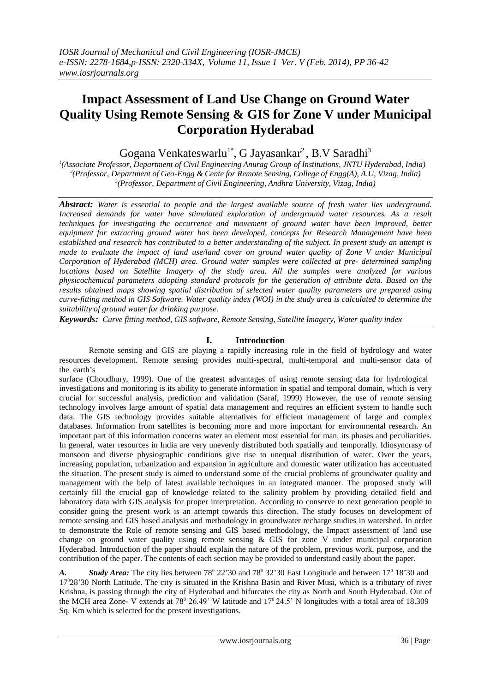# **Impact Assessment of Land Use Change on Ground Water Quality Using Remote Sensing & GIS for Zone V under Municipal Corporation Hyderabad**

Gogana Venkateswarlu<sup>1\*</sup>, G Jayasankar<sup>2</sup>, B.V Saradhi<sup>3</sup>

*1 (Associate Professor, Department of Civil Engineering Anurag Group of Institutions, JNTU Hyderabad, India) 2 (Professor, Department of Geo-Engg & Cente for Remote Sensing, College of Engg(A), A.U, Vizag, India) 3 (Professor, Department of Civil Engineering, Andhra University, Vizag, India)*

*Abstract: Water is essential to people and the largest available source of fresh water lies underground. Increased demands for water have stimulated exploration of underground water resources. As a result techniques for investigating the occurrence and movement of ground water have been improved, better equipment for extracting ground water has been developed, concepts for Research Management have been*  established and research has contributed to a better understanding of the subject. In present study an attempt is *made to evaluate the impact of land use/land cover on ground water quality of Zone V under Municipal Corporation of Hyderabad (MCH) area. Ground water samples were collected at pre- determined sampling locations based on Satellite Imagery of the study area. All the samples were analyzed for various physicochemical parameters adopting standard protocols for the generation of attribute data. Based on the results obtained maps showing spatial distribution of selected water quality parameters are prepared using*  curve-fitting method in GIS Software. Water quality index (WOI) in the study area is calculated to determine the *suitability of ground water for drinking purpose.*

*Keywords: Curve fitting method, GIS software, Remote Sensing, Satellite Imagery, Water quality index*

# **I. Introduction**

Remote sensing and GIS are playing a rapidly increasing role in the field of hydrology and water resources development. Remote sensing provides multi-spectral, multi-temporal and multi-sensor data of the earth's

surface (Choudhury, 1999). One of the greatest advantages of using remote sensing data for hydrological investigations and monitoring is its ability to generate information in spatial and temporal domain, which is very crucial for successful analysis, prediction and validation (Saraf, 1999) However, the use of remote sensing technology involves large amount of spatial data management and requires an efficient system to handle such data. The GIS technology provides suitable alternatives for efficient management of large and complex databases. Information from satellites is becoming more and more important for environmental research. An important part of this information concerns water an element most essential for man, its phases and peculiarities. In general, water resources in India are very unevenly distributed both spatially and temporally. Idiosyncrasy of monsoon and diverse physiographic conditions give rise to unequal distribution of water. Over the years, increasing population, urbanization and expansion in agriculture and domestic water utilization has accentuated the situation. The present study is aimed to understand some of the crucial problems of groundwater quality and management with the help of latest available techniques in an integrated manner. The proposed study will certainly fill the crucial gap of knowledge related to the salinity problem by providing detailed field and laboratory data with GIS analysis for proper interpretation. According to conserve to next generation people to consider going the present work is an attempt towards this direction. The study focuses on development of remote sensing and GIS based analysis and methodology in groundwater recharge studies in watershed. In order to demonstrate the Role of remote sensing and GIS based methodology, the Impact assessment of land use change on ground water quality using remote sensing  $\&$  GIS for zone V under municipal corporation Hyderabad. Introduction of the paper should explain the nature of the problem, previous work, purpose, and the contribution of the paper. The contents of each section may be provided to understand easily about the paper.

A. *Study Area:* The city lies between 78<sup>°</sup> 22'30 and 78<sup>°</sup> 32'30 East Longitude and between 17<sup>°</sup> 18'30 and 17<sup>0</sup> 28'30 North Latitude. The city is situated in the Krishna Basin and River Musi, which is a tributary of river Krishna, is passing through the city of Hyderabad and bifurcates the city as North and South Hyderabad. Out of the MCH area Zone- V extends at  $78^{\circ}$  26.49' W latitude and  $17^{\circ}$  24.5' N longitudes with a total area of 18.309 Sq. Km which is selected for the present investigations.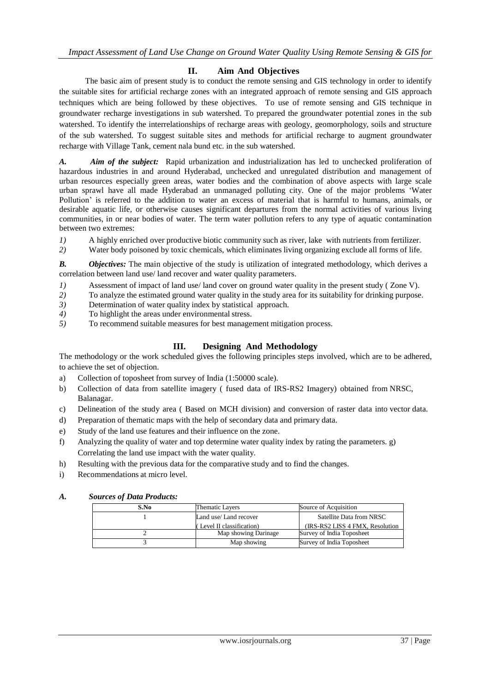## **II. Aim And Objectives**

The basic aim of present study is to conduct the remote sensing and GIS technology in order to identify the suitable sites for artificial recharge zones with an integrated approach of remote sensing and GIS approach techniques which are being followed by these objectives. To use of remote sensing and GIS technique in groundwater recharge investigations in sub watershed. To prepared the groundwater potential zones in the sub watershed. To identify the interrelationships of recharge areas with geology, geomorphology, soils and structure of the sub watershed. To suggest suitable sites and methods for artificial recharge to augment groundwater recharge with Village Tank, cement nala bund etc. in the sub watershed.

*A. Aim of the subject:* Rapid urbanization and industrialization has led to unchecked proliferation of hazardous industries in and around Hyderabad, unchecked and unregulated distribution and management of urban resources especially green areas, water bodies and the combination of above aspects with large scale urban sprawl have all made Hyderabad an unmanaged polluting city. One of the major problems 'Water Pollution' is referred to the addition to water an excess of material that is harmful to humans, animals, or desirable aquatic life, or otherwise causes significant departures from the normal activities of various living communities, in or near bodies of water. The term water pollution refers to any type of aquatic contamination between two extremes:

- *1)* A highly enriched over productive biotic community such as river, lake with nutrients from fertilizer.
- *2)* Water body poisoned by toxic chemicals, which eliminates living organizing exclude all forms of life.

*B. Objectives:* The main objective of the study is utilization of integrated methodology, which derives a correlation between land use/ land recover and water quality parameters.

- *1*) Assessment of impact of land use/ land cover on ground water quality in the present study (Zone V).
- *2)* To analyze the estimated ground water quality in the study area for its suitability for drinking purpose.
- *3)* Determination of water quality index by statistical approach.
- *4)* To highlight the areas under environmental stress.
- *5)* To recommend suitable measures for best management mitigation process.

# **III. Designing And Methodology**

The methodology or the work scheduled gives the following principles steps involved, which are to be adhered, to achieve the set of objection.

- a) Collection of toposheet from survey of India (1:50000 scale).
- b) Collection of data from satellite imagery ( fused data of IRS-RS2 Imagery) obtained from NRSC, Balanagar.
- c) Delineation of the study area ( Based on MCH division) and conversion of raster data into vector data.
- d) Preparation of thematic maps with the help of secondary data and primary data.
- e) Study of the land use features and their influence on the zone.
- f) Analyzing the quality of water and top determine water quality index by rating the parameters. g) Correlating the land use impact with the water quality.
- h) Resulting with the previous data for the comparative study and to find the changes.
- i) Recommendations at micro level.

#### *A. Sources of Data Products:*

| S.No | Thematic Layers           | Source of Acquisition            |
|------|---------------------------|----------------------------------|
|      | Land use/Land recover     | Satellite Data from NRSC         |
|      | (Level II classification) | (IRS-RS2 LISS 4 FMX, Resolution) |
|      | Map showing Darinage      | Survey of India Toposheet        |
|      | Map showing               | Survey of India Toposheet        |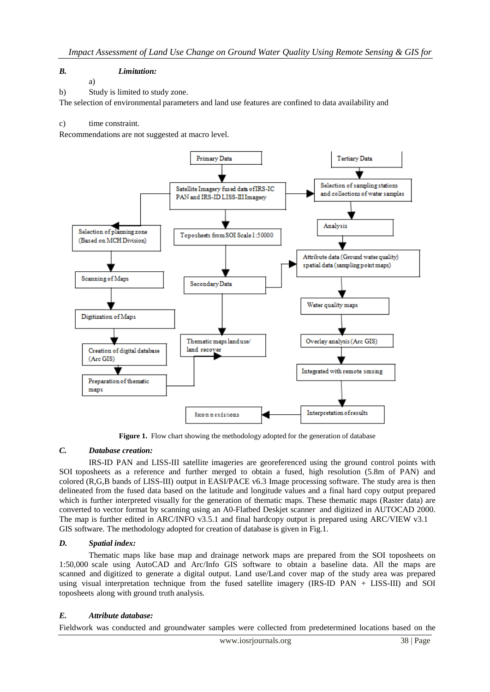## *B. Limitation:*

a)

#### b) Study is limited to study zone.

The selection of environmental parameters and land use features are confined to data availability and

#### c) time constraint.

Recommendations are not suggested at macro level.



Figure 1. Flow chart showing the methodology adopted for the generation of database

## *C. Database creation:*

IRS-ID PAN and LISS-III satellite imageries are georeferenced using the ground control points with SOI toposheets as a reference and further merged to obtain a fused, high resolution (5.8m of PAN) and colored (R,G,B bands of LISS-III) output in EASI/PACE v6.3 Image processing software. The study area is then delineated from the fused data based on the latitude and longitude values and a final hard copy output prepared which is further interpreted visually for the generation of thematic maps. These thematic maps (Raster data) are converted to vector format by scanning using an A0-Flatbed Deskjet scanner and digitized in AUTOCAD 2000. The map is further edited in ARC/INFO v3.5.1 and final hardcopy output is prepared using ARC/VIEW v3.1 GIS software. The methodology adopted for creation of database is given in Fig.1.

## *D. Spatial index:*

Thematic maps like base map and drainage network maps are prepared from the SOI toposheets on 1:50,000 scale using AutoCAD and Arc/Info GIS software to obtain a baseline data. All the maps are scanned and digitized to generate a digital output. Land use/Land cover map of the study area was prepared using visual interpretation technique from the fused satellite imagery (IRS-ID PAN + LISS-III) and SOI toposheets along with ground truth analysis.

## *E. Attribute database:*

Fieldwork was conducted and groundwater samples were collected from predetermined locations based on the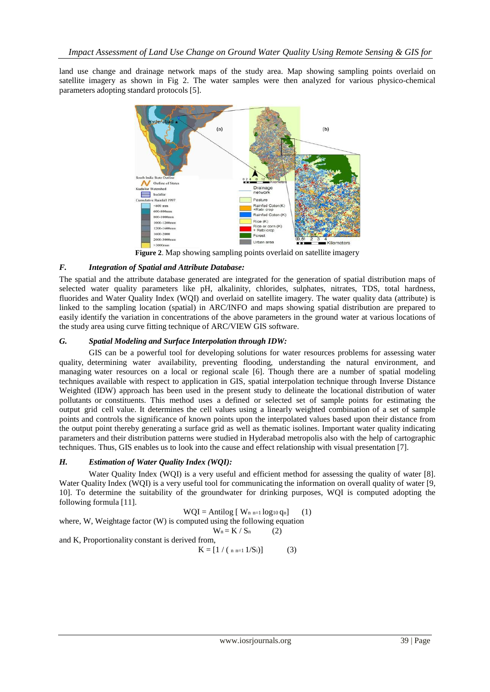land use change and drainage network maps of the study area. Map showing sampling points overlaid on satellite imagery as shown in Fig 2. The water samples were then analyzed for various physico-chemical parameters adopting standard protocols [5].



**Figure 2**. Map showing sampling points overlaid on satellite imagery

# *F. Integration of Spatial and Attribute Database:*

The spatial and the attribute database generated are integrated for the generation of spatial distribution maps of selected water quality parameters like pH, alkalinity, chlorides, sulphates, nitrates, TDS, total hardness, fluorides and Water Quality Index (WQI) and overlaid on satellite imagery. The water quality data (attribute) is linked to the sampling location (spatial) in ARC/INFO and maps showing spatial distribution are prepared to easily identify the variation in concentrations of the above parameters in the ground water at various locations of the study area using curve fitting technique of ARC/VIEW GIS software.

## *G. Spatial Modeling and Surface Interpolation through IDW:*

GIS can be a powerful tool for developing solutions for water resources problems for assessing water quality, determining water availability, preventing flooding, understanding the natural environment, and managing water resources on a local or regional scale [6]. Though there are a number of spatial modeling techniques available with respect to application in GIS, spatial interpolation technique through Inverse Distance Weighted (IDW) approach has been used in the present study to delineate the locational distribution of water pollutants or constituents. This method uses a defined or selected set of sample points for estimating the output grid cell value. It determines the cell values using a linearly weighted combination of a set of sample points and controls the significance of known points upon the interpolated values based upon their distance from the output point thereby generating a surface grid as well as thematic isolines. Important water quality indicating parameters and their distribution patterns were studied in Hyderabad metropolis also with the help of cartographic techniques. Thus, GIS enables us to look into the cause and effect relationship with visual presentation [7].

## *H. Estimation of Water Quality Index (WQI):*

Water Quality Index (WOI) is a very useful and efficient method for assessing the quality of water [8]. Water Quality Index (WQI) is a very useful tool for communicating the information on overall quality of water [9, 10]. To determine the suitability of the groundwater for drinking purposes, WQI is computed adopting the following formula [11].

$$
WQI = Antilog [ Wn n=1 log10 qn ] (1)
$$

where, W, Weightage factor (W) is computed using the following equation

$$
W_n = K / S_n \qquad (2)
$$

and K, Proportionality constant is derived from,

 $K = [1 / (n n=1 1/S<sub>i</sub>)]$  (3)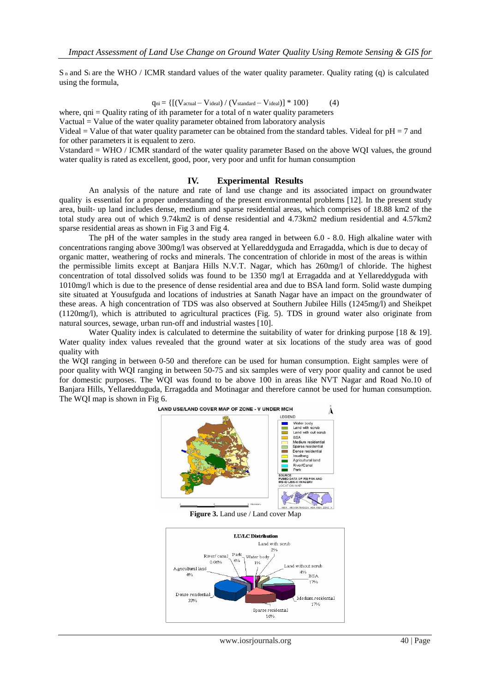S <sup>n</sup> and S<sup>i</sup> are the WHO / ICMR standard values of the water quality parameter. Quality rating (q) is calculated using the formula,

$$
q_{ni} = \left\{ \left[ \left( V_{actual} - V_{ideal} \right) / \left( V_{standard} - V_{ideal} \right) \right] * 100 \right\} \tag{4}
$$

where,  $qni =$ Quality rating of ith parameter for a total of n water quality parameters

Vactual = Value of the water quality parameter obtained from laboratory analysis

Videal = Value of that water quality parameter can be obtained from the standard tables. Videal for  $pH = 7$  and for other parameters it is equalent to zero.

Vstandard = WHO / ICMR standard of the water quality parameter Based on the above WQI values, the ground water quality is rated as excellent, good, poor, very poor and unfit for human consumption

#### **IV. Experimental Results**

An analysis of the nature and rate of land use change and its associated impact on groundwater quality is essential for a proper understanding of the present environmental problems [12]. In the present study area, built- up land includes dense, medium and sparse residential areas, which comprises of 18.88 km2 of the total study area out of which 9.74km2 is of dense residential and 4.73km2 medium residential and 4.57km2 sparse residential areas as shown in Fig 3 and Fig 4.

The pH of the water samples in the study area ranged in between 6.0 - 8.0. High alkaline water with concentrations ranging above 300mg/l was observed at Yellareddyguda and Erragadda, which is due to decay of organic matter, weathering of rocks and minerals. The concentration of chloride in most of the areas is within the permissible limits except at Banjara Hills N.V.T. Nagar, which has 260mg/l of chloride. The highest concentration of total dissolved solids was found to be 1350 mg/l at Erragadda and at Yellareddyguda with 1010mg/l which is due to the presence of dense residential area and due to BSA land form. Solid waste dumping site situated at Yousufguda and locations of industries at Sanath Nagar have an impact on the groundwater of these areas. A high concentration of TDS was also observed at Southern Jubilee Hills (1245mg/l) and Sheikpet (1120mg/l), which is attributed to agricultural practices (Fig. 5). TDS in ground water also originate from natural sources, sewage, urban run-off and industrial wastes [10].

Water Quality index is calculated to determine the suitability of water for drinking purpose [18 & 19]. Water quality index values revealed that the ground water at six locations of the study area was of good quality with

the WQI ranging in between 0-50 and therefore can be used for human consumption. Eight samples were of poor quality with WQI ranging in between 50-75 and six samples were of very poor quality and cannot be used for domestic purposes. The WQI was found to be above 100 in areas like NVT Nagar and Road No.10 of Banjara Hills, Yellaredduguda, Erragadda and Motinagar and therefore cannot be used for human consumption. The WQI map is shown in Fig 6.



**Figure 3.** Land use / Land cover Map



www.iosrjournals.org 40 | Page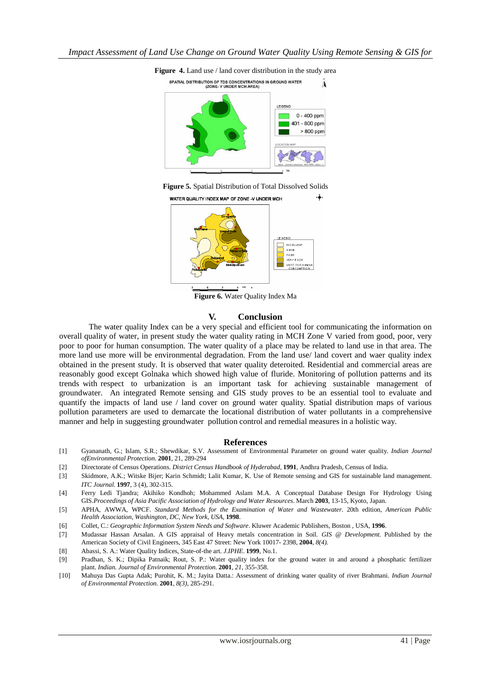







**Figure 6.** Water Quality Index Ma

#### **V. Conclusion**

The water quality Index can be a very special and efficient tool for communicating the information on overall quality of water, in present study the water quality rating in MCH Zone V varied from good, poor, very poor to poor for human consumption. The water quality of a place may be related to land use in that area. The more land use more will be environmental degradation. From the land use/ land covert and waer quality index obtained in the present study. It is observed that water quality deteroited. Residential and commercial areas are reasonably good except Golnaka which showed high value of fluride. Monitoring of pollution patterns and its trends with respect to urbanization is an important task for achieving sustainable management of groundwater. An integrated Remote sensing and GIS study proves to be an essential tool to evaluate and quantify the impacts of land use / land cover on ground water quality. Spatial distribution maps of various pollution parameters are used to demarcate the locational distribution of water pollutants in a comprehensive manner and help in suggesting groundwater pollution control and remedial measures in a holistic way.

#### **References**

- [1] Gyananath, G.; Islam, S.R.; Shewdikar, S.V. Assessment of Environmental Parameter on ground water quality. *Indian Journal ofEnvironmental Protection.* **2001**, 21, 289-294
- [2] Directorate of Census Operations. *District Census Handbook of Hyderabad,* **1991**, Andhra Pradesh, Census of India.
- [3] Skidmore, A.K.; Witske Bijer; Karin Schmidt; Lalit Kumar, K. Use of Remote sensing and GIS for sustainable land management. *ITC Journal*. **1997**, 3 (4), 302-315.
- [4] Ferry Ledi Tjandra; Akihiko Kondhoh; Mohammed Aslam M.A. A Conceptual Database Design For Hydrology Using GIS.*Proceedings of Asia Pacific Association of Hydrology and Water Resources*. March **2003**, 13-15, Kyoto, Japan.
- [5] APHA, AWWA, WPCF. *Standard Methods for the Examination of Water and Wastewater*. 20th edition, *American Public Health Association, Washington, DC, New York, USA*, **1998**.
- [6] Collet, C.: *Geographic Information System Needs and Software*. Kluwer Academic Publishers, Boston , USA, **1996**.
- [7] Mudassar Hassan Arsalan. A GIS appraisal of Heavy metals concentration in Soil. *GIS @ Development.* Published by the American Society of Civil Engineers, 345 East 47 Street: New York 10017- 2398, **2004**, *8(4)*.
- [8] Abassi, S. A.: Water Quality Indices, State-of-the art. *J.IPHE*. **1999**, No.1.
- [9] Pradhan, S. K.; Dipika Patnaik; Rout, S. P.: Water quality index for the ground water in and around a phosphatic fertilizer plant. *Indian. Journal of Environmental Protection.* **2001***, 21,* 355-358.
- [10] Mahuya Das Gupta Adak; Purohit, K. M.; Jayita Datta.: Assessment of drinking water quality of river Brahmani. *Indian Journal of Environmental Protection.* **2001**, *8(3),* 285-291.